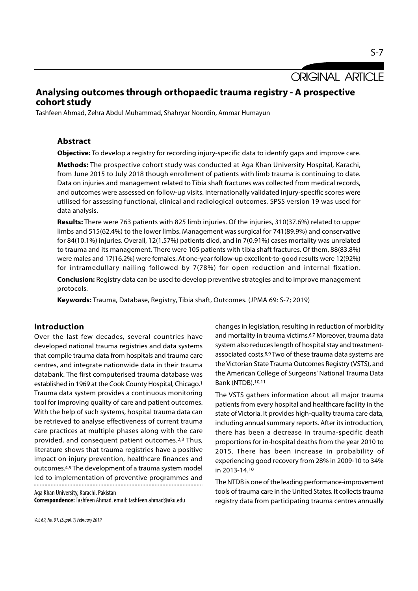**ORIGINAL ARTICLE** 

## Analysing outcomes through orthopaedic trauma registry - A prospective cohort study

Tashfeen Ahmad, Zehra Abdul Muhammad, Shahryar Noordin, Ammar Humayun

## Abstract

**Objective:** To develop a registry for recording injury-specific data to identify gaps and improve care.

Methods: The prospective cohort study was conducted at Aga Khan University Hospital, Karachi, from June 2015 to July 2018 though enrollment of patients with limb trauma is continuing to date. Data on injuries and management related to Tibia shaft fractures was collected from medical records, and outcomes were assessed on follow-up visits. Internationally validated injury-specific scores were utilised for assessing functional, clinical and radiological outcomes. SPSS version 19 was used for data analysis.

Results: There were 763 patients with 825 limb injuries. Of the injuries, 310(37.6%) related to upper limbs and 515(62.4%) to the lower limbs. Management was surgical for 741(89.9%) and conservative for 84(10.1%) injuries. Overall, 12(1.57%) patients died, and in 7(0.91%) cases mortality was unrelated to trauma and its management. There were 105 patients with tibia shaft fractures. Of them, 88(83.8%) were males and 17(16.2%) were females. At one-year follow-up excellent-to-good results were 12(92%) for intramedullary nailing followed by 7(78%) for open reduction and internal fixation.

Conclusion: Registry data can be used to develop preventive strategies and to improve management protocols.

Keywords: Trauma, Database, Registry, Tibia shaft, Outcomes. (JPMA 69: S-7; 2019)

## Introduction

Over the last few decades, several countries have developed national trauma registries and data systems that compile trauma data from hospitals and trauma care centres, and integrate nationwide data in their trauma databank. The first computerised trauma database was established in 1969 at the Cook County Hospital, Chicago.1 Trauma data system provides a continuous monitoring tool for improving quality of care and patient outcomes. With the help of such systems, hospital trauma data can be retrieved to analyse effectiveness of current trauma care practices at multiple phases along with the care provided, and consequent patient outcomes.2,3 Thus, literature shows that trauma registries have a positive impact on injury prevention, healthcare finances and outcomes.4,5 The development of a trauma system model led to implementation of preventive programmes and

Aga Khan University, Karachi, Pakistan Correspondence: Tashfeen Ahmad. email: tashfeen.ahmad@aku.edu

Vol. 69, No. 01, (Suppl. 1) February 2019

changes in legislation, resulting in reduction of morbidity and mortality in trauma victims.6,7 Moreover, trauma data system also reduces length of hospital stay and treatmentassociated costs.8,9 Two of these trauma data systems are the Victorian State Trauma Outcomes Registry (VSTS), and the American College of Surgeons' National Trauma Data Bank (NTDB).10,11

The VSTS gathers information about all major trauma patients from every hospital and healthcare facility in the state of Victoria. It provides high-quality trauma care data, including annual summary reports. After its introduction, there has been a decrease in trauma-specific death proportions for in-hospital deaths from the year 2010 to 2015. There has been increase in probability of experiencing good recovery from 28% in 2009-10 to 34% in 2013-14.10

The NTDB is one of the leading performance-improvement tools of trauma care in the United States. It collects trauma registry data from participating trauma centres annually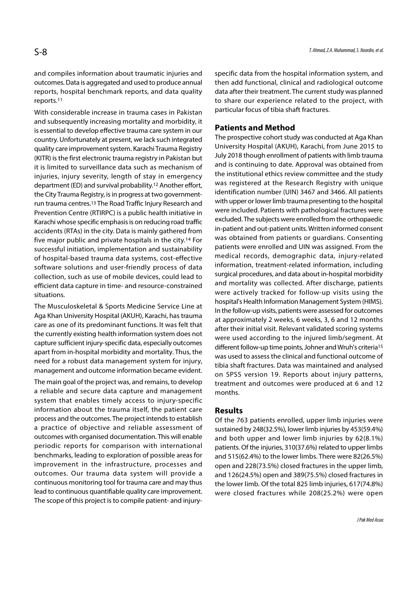and compiles information about traumatic injuries and outcomes. Data is aggregated and used to produce annual reports, hospital benchmark reports, and data quality reports.11

With considerable increase in trauma cases in Pakistan and subsequently increasing mortality and morbidity, it is essential to develop effective trauma care system in our country. Unfortunately at present, we lack such integrated quality care improvement system. Karachi Trauma Registry (KITR) is the first electronic trauma registry in Pakistan but it is limited to surveillance data such as mechanism of injuries, injury severity, length of stay in emergency department (ED) and survival probability.12 Another effort, the City Trauma Registry, is in progress at two governmentrun trauma centres.13 The Road Traffic Injury Research and Prevention Centre (RTIRPC) is a public health initiative in Karachi whose specific emphasis is on reducing road traffic accidents (RTAs) in the city. Data is mainly gathered from five major public and private hospitals in the city.14 For successful initiation, implementation and sustainability of hospital-based trauma data systems, cost-effective software solutions and user-friendly process of data collection, such as use of mobile devices, could lead to efficient data capture in time- and resource-constrained situations.

The Musculoskeletal & Sports Medicine Service Line at Aga Khan University Hospital (AKUH), Karachi, has trauma care as one of its predominant functions. It was felt that the currently existing health information system does not capture sufficient injury-specific data, especially outcomes apart from in-hospital morbidity and mortality. Thus, the need for a robust data management system for injury, management and outcome information became evident.

The main goal of the project was, and remains, to develop a reliable and secure data capture and management system that enables timely access to injury-specific information about the trauma itself, the patient care process and the outcomes. The project intends to establish a practice of objective and reliable assessment of outcomes with organised documentation. This will enable periodic reports for comparison with international benchmarks, leading to exploration of possible areas for improvement in the infrastructure, processes and outcomes. Our trauma data system will provide a continuous monitoring tool for trauma care and may thus lead to continuous quantifiable quality care improvement. The scope of this project is to compile patient- and injuryspecific data from the hospital information system, and then add functional, clinical and radiological outcome data after their treatment. The current study was planned to share our experience related to the project, with particular focus of tibia shaft fractures.

#### Patients and Method

The prospective cohort study was conducted at Aga Khan University Hospital (AKUH), Karachi, from June 2015 to July 2018 though enrollment of patients with limb trauma and is continuing to date. Approval was obtained from the institutional ethics review committee and the study was registered at the Research Registry with unique identification number (UIN) 3467 and 3466. All patients with upper or lower limb trauma presenting to the hospital were included. Patients with pathological fractures were excluded. The subjects were enrolled from the orthopaedic in-patient and out-patient units. Written informed consent was obtained from patients or guardians. Consenting patients were enrolled and UIN was assigned. From the medical records, demographic data, injury-related information, treatment-related information, including surgical procedures, and data about in-hospital morbidity and mortality was collected. After discharge, patients were actively tracked for follow-up visits using the hospital's Health Information Management System (HIMS). In the follow-up visits, patients were assessed for outcomes at approximately 2 weeks, 6 weeks, 3, 6 and 12 months after their initial visit. Relevant validated scoring systems were used according to the injured limb/segment. At different follow-up time points, Johner and Wruh's criteria15 was used to assess the clinical and functional outcome of tibia shaft fractures. Data was maintained and analysed on SPSS version 19. Reports about injury patterns, treatment and outcomes were produced at 6 and 12 months.

### Results

Of the 763 patients enrolled, upper limb injuries were sustained by 248(32.5%), lower limb injuries by 453(59.4%) and both upper and lower limb injuries by 62(8.1%) patients. Of the injuries, 310(37.6%) related to upper limbs and 515(62.4%) to the lower limbs. There were 82(26.5%) open and 228(73.5%) closed fractures in the upper limb, and 126(24.5%) open and 389(75.5%) closed fractures in the lower limb. Of the total 825 limb injuries, 617(74.8%) were closed fractures while 208(25.2%) were open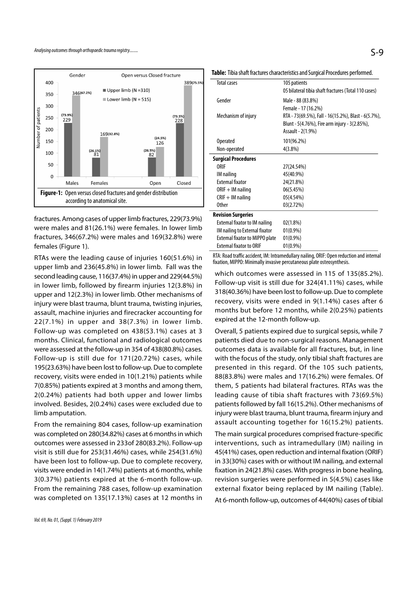

fractures. Among cases of upper limb fractures, 229(73.9%) were males and 81(26.1%) were females. In lower limb fractures, 346(67.2%) were males and 169(32.8%) were females (Figure 1).

RTAs were the leading cause of injuries 160(51.6%) in upper limb and 236(45.8%) in lower limb. Fall was the second leading cause, 116(37.4%) in upper and 229(44.5%) in lower limb, followed by firearm injuries 12(3.8%) in upper and 12(2.3%) in lower limb. Other mechanisms of injury were blast trauma, blunt trauma, twisting injuries, assault, machine injuries and firecracker accounting for 22(7.1%) in upper and 38(7.3%) in lower limb. Follow-up was completed on 438(53.1%) cases at 3 months. Clinical, functional and radiological outcomes were assessed at the follow-up in 354 of 438(80.8%) cases. Follow-up is still due for 171(20.72%) cases, while 195(23.63%) have been lost to follow-up. Due to complete recovery, visits were ended in 10(1.21%) patients while 7(0.85%) patients expired at 3 months and among them, 2(0.24%) patients had both upper and lower limbs involved. Besides, 2(0.24%) cases were excluded due to limb amputation.

From the remaining 804 cases, follow-up examination was completed on 280(34.82%) cases at 6 months in which outcomes were assessed in 233of 280(83.2%). Follow-up visit is still due for 253(31.46%) cases, while 254(31.6%) have been lost to follow-up. Due to complete recovery, visits were ended in 14(1.74%) patients at 6 months, while 3(0.37%) patients expired at the 6-month follow-up. From the remaining 788 cases, follow-up examination was completed on 135(17.13%) cases at 12 months in

| <b>Total cases</b>                     | 105 patients                                         |
|----------------------------------------|------------------------------------------------------|
|                                        | 05 bilateral tibia shaft fractures (Total 110 cases) |
| Gender                                 | Male - 88 (83.8%)                                    |
|                                        | Female - 17 (16.2%)                                  |
| Mechanism of injury                    | RTA - 73(69.5%), Fall - 16(15.2%), Blast - 6(5.7%),  |
|                                        | Blunt - 5(4.76%), Fire arm injury - 3(2.85%),        |
|                                        | Assault - 2(1.9%)                                    |
| <b>Operated</b>                        | 101(96.2%)                                           |
| Non-operated                           | $4(3.8\%)$                                           |
| <b>Surgical Procedures</b>             |                                                      |
| <b>ORIF</b>                            | 27(24.54%)                                           |
| IM nailing                             | 45(40.9%)                                            |
| <b>External fixator</b>                | 24(21.8%)                                            |
| $ORIF + IM$ nailing                    | 06(5.45%)                                            |
| $CRIF + IM$ nailing                    | 05(4.54%)                                            |
| <b>Other</b>                           | 03(2.72%)                                            |
| <b>Revision Surgeries</b>              |                                                      |
| External fixator to IM nailing         | 02(1.8%)                                             |
| IM nailing to External fixator         | $01(0.9\%)$                                          |
| <b>External fixator to MIPPO plate</b> | 01(0.9%)                                             |
| <b>External fixator to ORIF</b>        | $01(0.9\%)$                                          |
|                                        |                                                      |

RTA: Road traffic accident, IM: Intramedullary nailing, ORIF: Open reduction and internal fixation, MIPPO: Minimally invasive percutaneous plate osteosynthesis.

which outcomes were assessed in 115 of 135(85.2%). Follow-up visit is still due for 324(41.11%) cases, while 318(40.36%) have been lost to follow-up. Due to complete recovery, visits were ended in 9(1.14%) cases after 6 months but before 12 months, while 2(0.25%) patients expired at the 12-month follow-up.

Overall, 5 patients expired due to surgical sepsis, while 7 patients died due to non-surgical reasons. Management outcomes data is available for all fractures, but, in line with the focus of the study, only tibial shaft fractures are presented in this regard. Of the 105 such patients, 88(83.8%) were males and 17(16.2%) were females. Of them, 5 patients had bilateral fractures. RTAs was the leading cause of tibia shaft fractures with 73(69.5%) patients followed by fall 16(15.2%). Other mechanisms of injury were blast trauma, blunt trauma, firearm injury and assault accounting together for 16(15.2%) patients.

The main surgical procedures comprised fracture-specific interventions, such as intramedullary (IM) nailing in 45(41%) cases, open reduction and internal fixation (ORIF) in 33(30%) cases with or without IM nailing, and external fixation in 24(21.8%) cases. With progress in bone healing, revision surgeries were performed in 5(4.5%) cases like external fixator being replaced by IM nailing (Table). At 6-month follow-up, outcomes of 44(40%) cases of tibial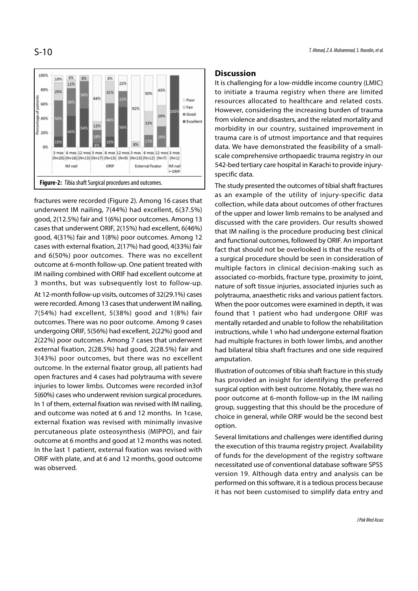T. Ahmad, Z.A. Muhammad, S. Noordin, et al.

# S-10



fractures were recorded (Figure 2). Among 16 cases that underwent IM nailing, 7(44%) had excellent, 6(37.5%) good, 2(12.5%) fair and 1(6%) poor outcomes. Among 13 cases that underwent ORIF, 2(15%) had excellent, 6(46%) good, 4(31%) fair and 1(8%) poor outcomes. Among 12 cases with external fixation, 2(17%) had good, 4(33%) fair and 6(50%) poor outcomes. There was no excellent outcome at 6-month follow-up. One patient treated with IM nailing combined with ORIF had excellent outcome at 3 months, but was subsequently lost to follow-up. At 12-month follow-up visits, outcomes of 32(29.1%) cases were recorded. Among 13 cases that underwent IM nailing,

7(54%) had excellent, 5(38%) good and 1(8%) fair outcomes. There was no poor outcome. Among 9 cases undergoing ORIF, 5(56%) had excellent, 2(22%) good and 2(22%) poor outcomes. Among 7 cases that underwent external fixation, 2(28.5%) had good, 2(28.5%) fair and 3(43%) poor outcomes, but there was no excellent outcome. In the external fixator group, all patients had open fractures and 4 cases had polytrauma with severe injuries to lower limbs. Outcomes were recorded in3of 5(60%) cases who underwent revision surgical procedures. In 1 of them, external fixation was revised with IM nailing, and outcome was noted at 6 and 12 months. In 1case, external fixation was revised with minimally invasive percutaneous plate osteosynthesis (MIPPO), and fair outcome at 6 months and good at 12 months was noted. In the last 1 patient, external fixation was revised with ORIF with plate, and at 6 and 12 months, good outcome was observed.

#### **Discussion**

It is challenging for a low-middle income country (LMIC) to initiate a trauma registry when there are limited resources allocated to healthcare and related costs. However, considering the increasing burden of trauma from violence and disasters, and the related mortality and morbidity in our country, sustained improvement in trauma care is of utmost importance and that requires data. We have demonstrated the feasibility of a smallscale comprehensive orthopaedic trauma registry in our 542-bed tertiary care hospital in Karachi to provide injuryspecific data.

The study presented the outcomes of tibial shaft fractures as an example of the utility of injury-specific data collection, while data about outcomes of other fractures of the upper and lower limb remains to be analysed and discussed with the care providers. Our results showed that IM nailing is the procedure producing best clinical and functional outcomes, followed by ORIF. An important fact that should not be overlooked is that the results of a surgical procedure should be seen in consideration of multiple factors in clinical decision-making such as associated co-morbids, fracture type, proximity to joint, nature of soft tissue injuries, associated injuries such as polytrauma, anaesthetic risks and various patient factors. When the poor outcomes were examined in depth, it was found that 1 patient who had undergone ORIF was mentally retarded and unable to follow the rehabilitation instructions, while 1 who had undergone external fixation had multiple fractures in both lower limbs, and another had bilateral tibia shaft fractures and one side required amputation.

Illustration of outcomes of tibia shaft fracture in this study has provided an insight for identifying the preferred surgical option with best outcome. Notably, there was no poor outcome at 6-month follow-up in the IM nailing group, suggesting that this should be the procedure of choice in general, while ORIF would be the second best option.

Several limitations and challenges were identified during the execution of this trauma registry project. Availability of funds for the development of the registry software necessitated use of conventional database software SPSS version 19. Although data entry and analysis can be performed on this software, it is a tedious process because it has not been customised to simplify data entry and